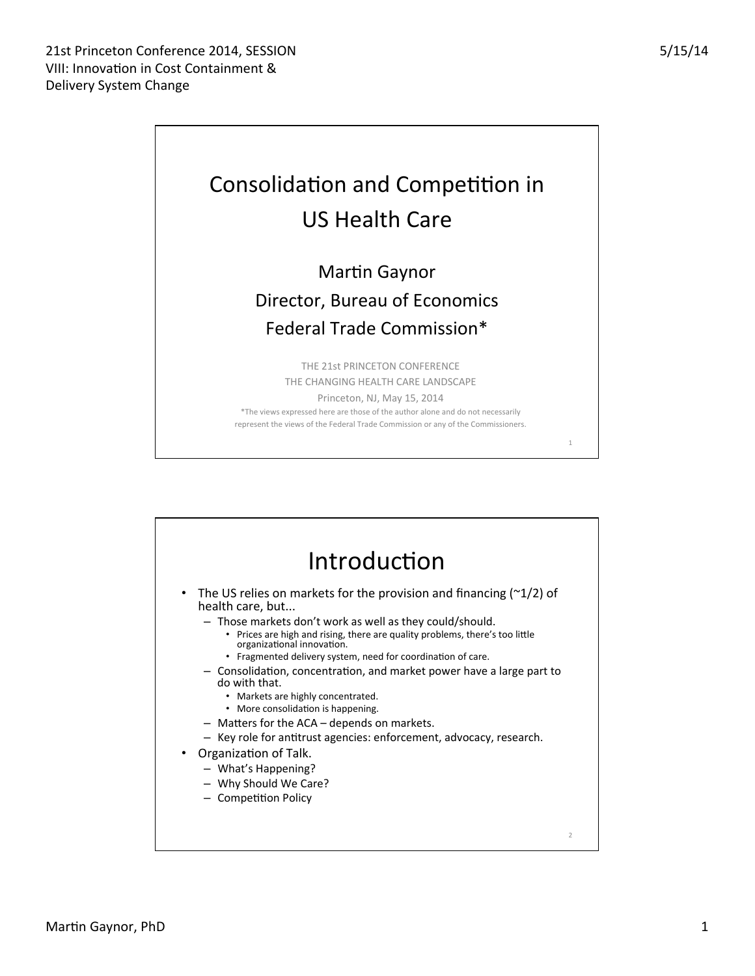1 



Martin Gaynor Director, Bureau of Economics Federal Trade Commission\*

> THE 21st PRINCETON CONFERENCE THE CHANGING HEALTH CARE LANDSCAPE

Princeton, NJ, May 15, 2014 \*The views expressed here are those of the author alone and do not necessarily represent the views of the Federal Trade Commission or any of the Commissioners.

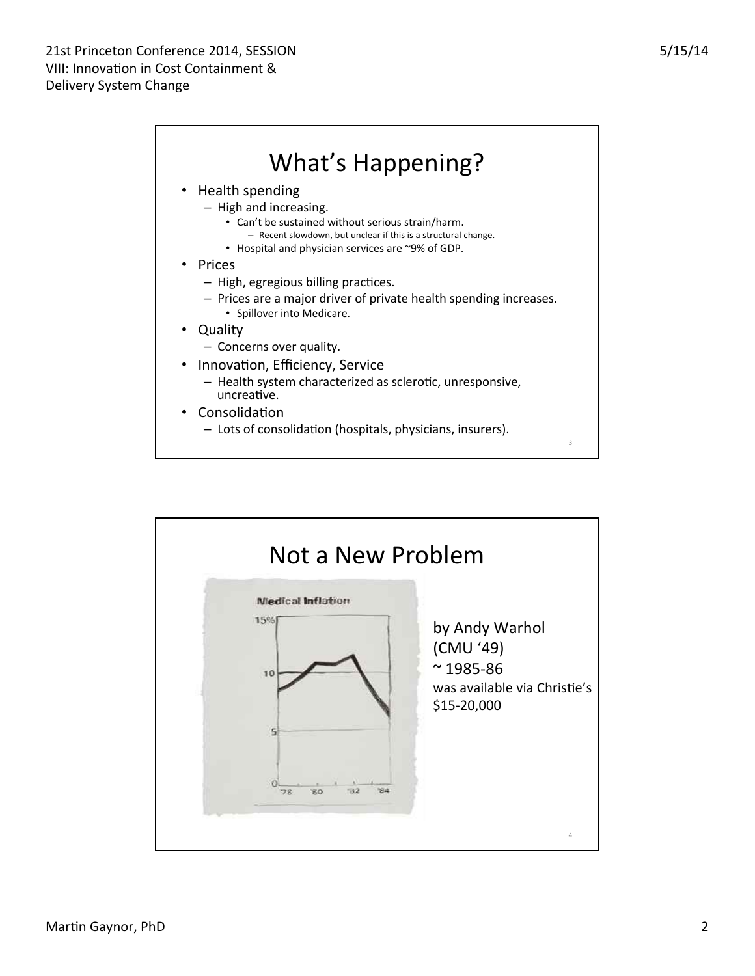

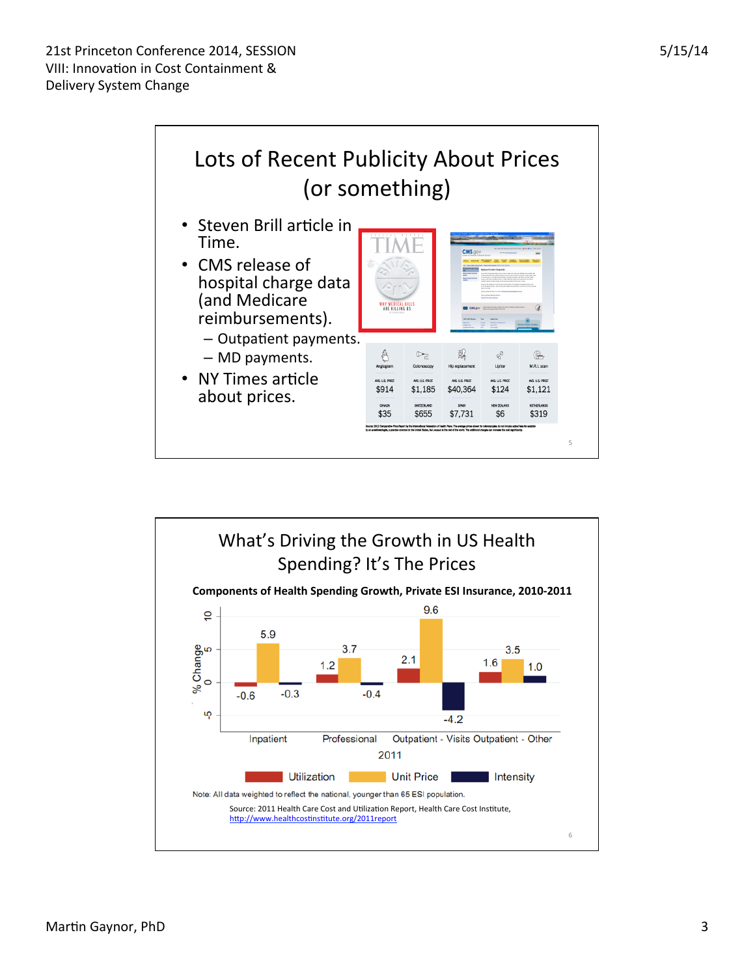5/15/14 



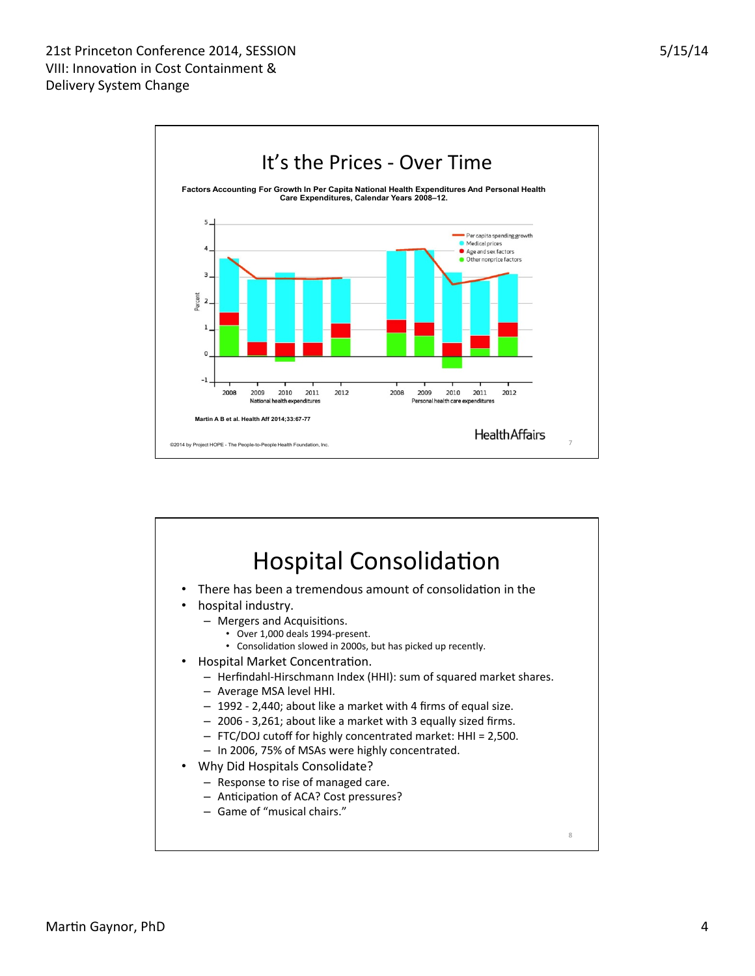

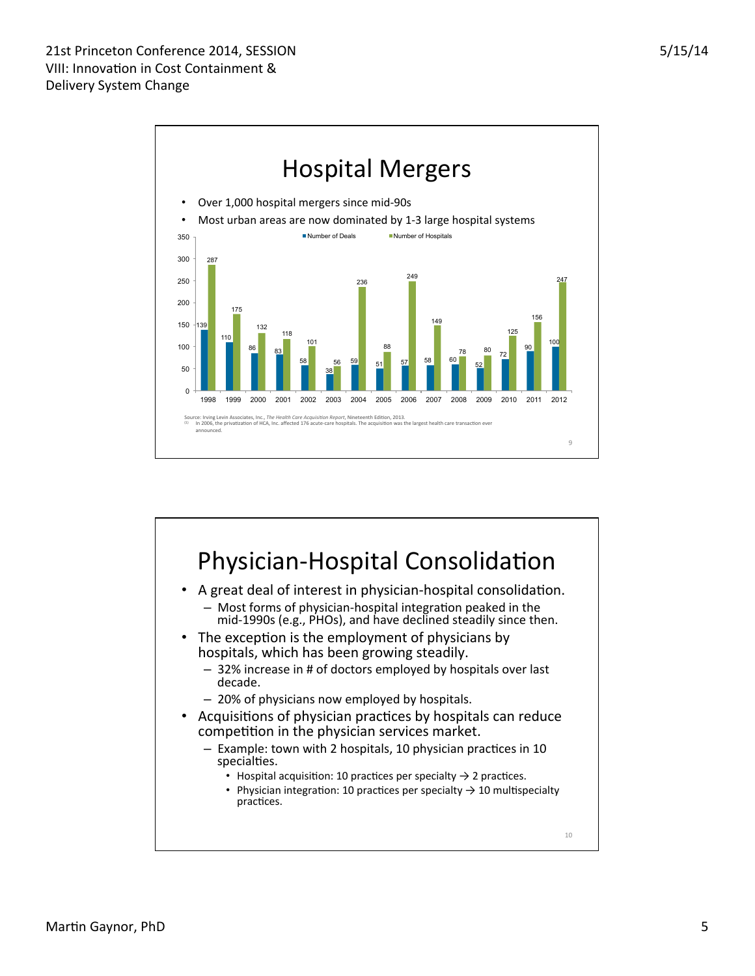

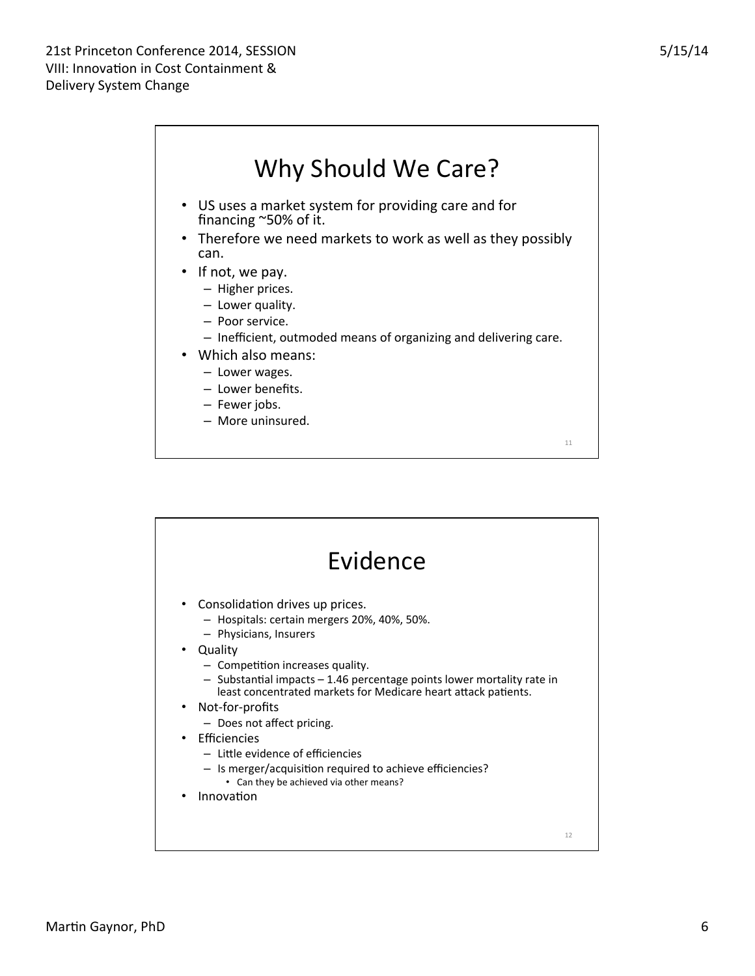

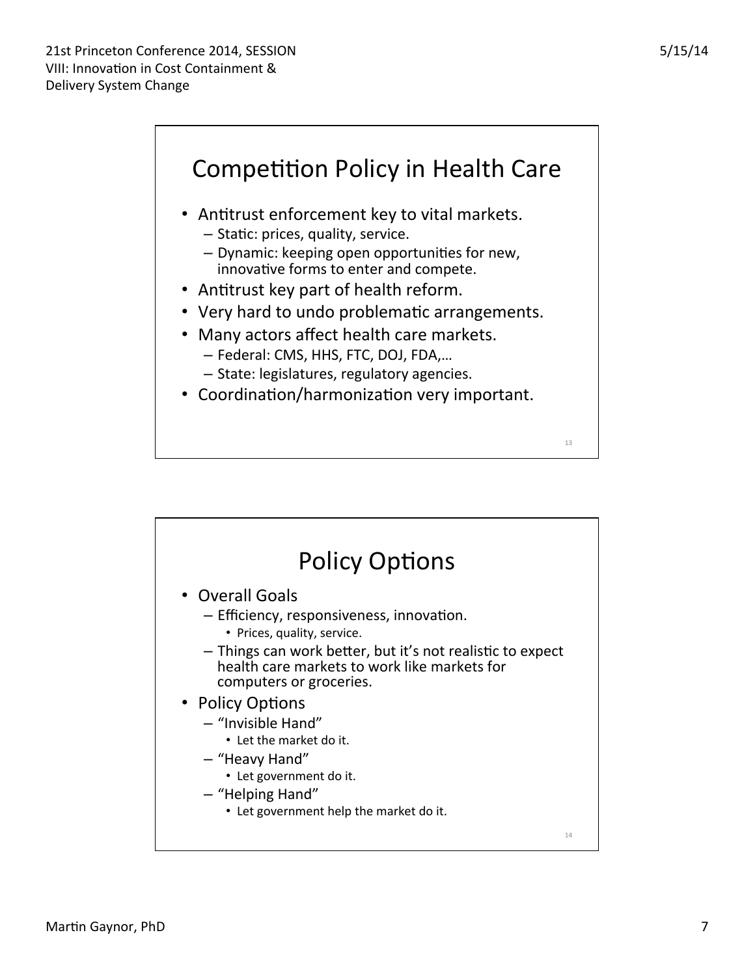

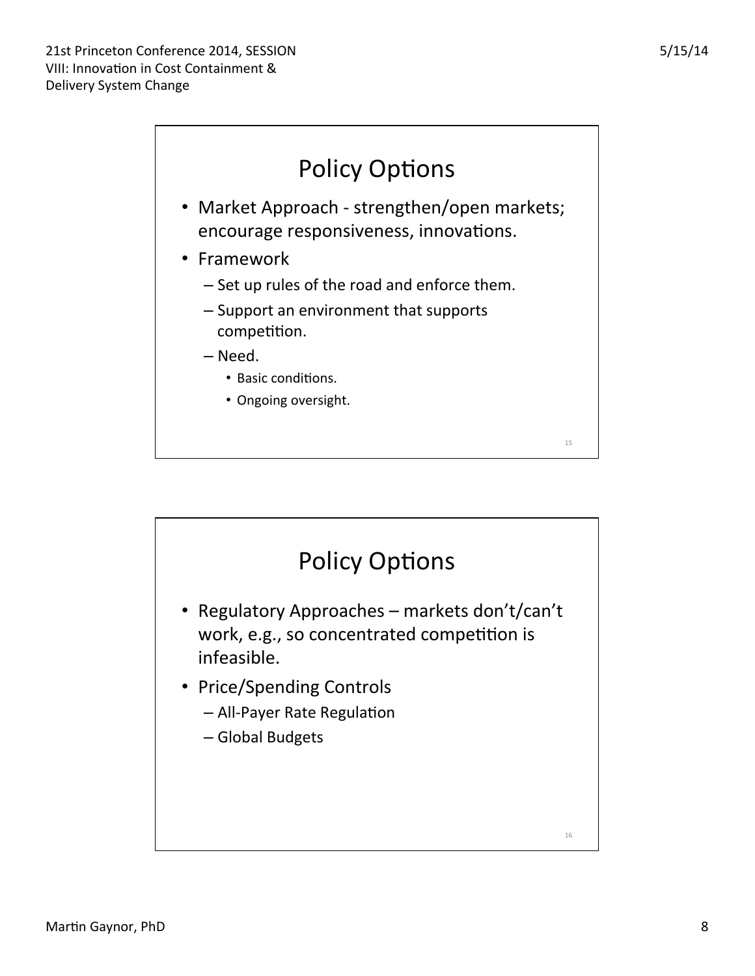